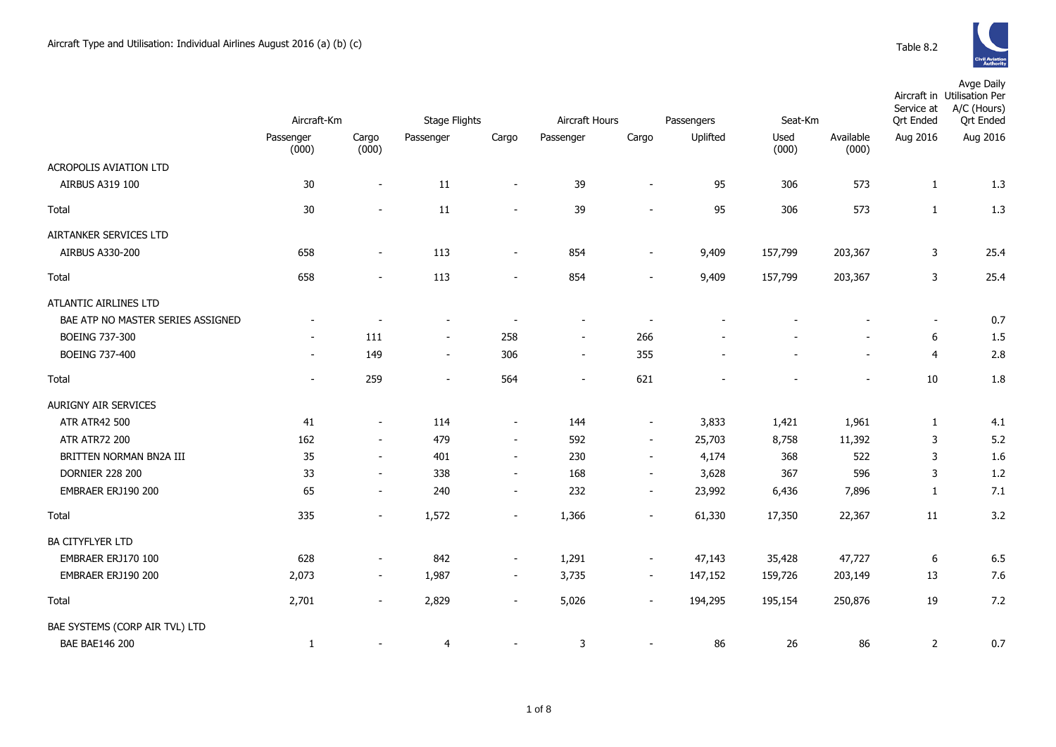

|                                           | Aircraft-Km              |                          | Stage Flights            |                              | Aircraft Hours           |                          | Passengers | Seat-Km |           | Service at<br><b>Qrt Ended</b> | Avge Daily<br>Aircraft in Utilisation Per<br>A/C (Hours)<br><b>Qrt Ended</b> |  |
|-------------------------------------------|--------------------------|--------------------------|--------------------------|------------------------------|--------------------------|--------------------------|------------|---------|-----------|--------------------------------|------------------------------------------------------------------------------|--|
|                                           | Passenger                | Cargo                    | Passenger                | Cargo                        | Passenger                | Cargo                    | Uplifted   | Used    | Available | Aug 2016                       | Aug 2016                                                                     |  |
|                                           | (000)                    | (000)                    |                          |                              |                          |                          |            | (000)   | (000)     |                                |                                                                              |  |
| ACROPOLIS AVIATION LTD<br>AIRBUS A319 100 | $30\,$                   |                          | 11                       | $\overline{a}$               | 39                       |                          | 95         | 306     | 573       |                                |                                                                              |  |
|                                           |                          |                          |                          |                              |                          |                          |            |         |           | $\mathbf{1}$                   | 1.3                                                                          |  |
| Total                                     | $30\,$                   | $\overline{\phantom{a}}$ | 11                       | $\blacksquare$               | 39                       | $\sim$                   | 95         | 306     | 573       | $\mathbf{1}$                   | 1.3                                                                          |  |
| AIRTANKER SERVICES LTD                    |                          |                          |                          |                              |                          |                          |            |         |           |                                |                                                                              |  |
| AIRBUS A330-200                           | 658                      | $\blacksquare$           | 113                      | $\sim$                       | 854                      | $\blacksquare$           | 9,409      | 157,799 | 203,367   | 3                              | 25.4                                                                         |  |
| Total                                     | 658                      | $\blacksquare$           | 113                      | $\blacksquare$               | 854                      | $\blacksquare$           | 9,409      | 157,799 | 203,367   | 3                              | 25.4                                                                         |  |
| ATLANTIC AIRLINES LTD                     |                          |                          |                          |                              |                          |                          |            |         |           |                                |                                                                              |  |
| BAE ATP NO MASTER SERIES ASSIGNED         |                          |                          | $\blacksquare$           | $\overline{\phantom{a}}$     |                          |                          |            |         |           | $\sim$                         | 0.7                                                                          |  |
| <b>BOEING 737-300</b>                     |                          | 111                      | $\overline{\phantom{a}}$ | 258                          | $\blacksquare$           | 266                      |            |         |           | $\boldsymbol{6}$               | 1.5                                                                          |  |
| <b>BOEING 737-400</b>                     | $\overline{\phantom{a}}$ | 149                      | $\overline{\phantom{a}}$ | 306                          | $\overline{\phantom{a}}$ | 355                      |            |         |           | $\overline{4}$                 | 2.8                                                                          |  |
| Total                                     | $\overline{\phantom{a}}$ | 259                      | $\overline{\phantom{a}}$ | 564                          | $\overline{\phantom{a}}$ | 621                      |            |         |           | 10                             | 1.8                                                                          |  |
| AURIGNY AIR SERVICES                      |                          |                          |                          |                              |                          |                          |            |         |           |                                |                                                                              |  |
| <b>ATR ATR42 500</b>                      | 41                       | $\blacksquare$           | 114                      | $\overline{\phantom{a}}$     | 144                      | $\overline{\phantom{a}}$ | 3,833      | 1,421   | 1,961     | $\mathbf{1}$                   | 4.1                                                                          |  |
| <b>ATR ATR72 200</b>                      | 162                      | $\overline{\phantom{a}}$ | 479                      | $\overline{\phantom{a}}$     | 592                      | $\overline{\phantom{a}}$ | 25,703     | 8,758   | 11,392    | 3                              | 5.2                                                                          |  |
| BRITTEN NORMAN BN2A III                   | 35                       | $\overline{\phantom{a}}$ | 401                      | $\overline{\phantom{a}}$     | 230                      | $\overline{\phantom{a}}$ | 4,174      | 368     | 522       | 3                              | 1.6                                                                          |  |
| <b>DORNIER 228 200</b>                    | 33                       | $\blacksquare$           | 338                      | $\overline{\phantom{a}}$     | 168                      | $\blacksquare$           | 3,628      | 367     | 596       | 3                              | 1.2                                                                          |  |
| EMBRAER ERJ190 200                        | 65                       | $\overline{\phantom{a}}$ | 240                      | $\qquad \qquad \blacksquare$ | 232                      | $\overline{\phantom{a}}$ | 23,992     | 6,436   | 7,896     | 1                              | 7.1                                                                          |  |
| Total                                     | 335                      | $\overline{\phantom{a}}$ | 1,572                    | $\blacksquare$               | 1,366                    | $\overline{\phantom{a}}$ | 61,330     | 17,350  | 22,367    | 11                             | 3.2                                                                          |  |
| <b>BA CITYFLYER LTD</b>                   |                          |                          |                          |                              |                          |                          |            |         |           |                                |                                                                              |  |
| EMBRAER ERJ170 100                        | 628                      | $\blacksquare$           | 842                      | $\overline{\phantom{a}}$     | 1,291                    | $\blacksquare$           | 47,143     | 35,428  | 47,727    | 6                              | 6.5                                                                          |  |
| EMBRAER ERJ190 200                        | 2,073                    | $\overline{\phantom{a}}$ | 1,987                    | $\blacksquare$               | 3,735                    | $\overline{\phantom{a}}$ | 147,152    | 159,726 | 203,149   | 13                             | 7.6                                                                          |  |
| Total                                     | 2,701                    | $\overline{\phantom{a}}$ | 2,829                    | $\overline{\phantom{a}}$     | 5,026                    | $\overline{\phantom{a}}$ | 194,295    | 195,154 | 250,876   | 19                             | 7.2                                                                          |  |
| BAE SYSTEMS (CORP AIR TVL) LTD            |                          |                          |                          |                              |                          |                          |            |         |           |                                |                                                                              |  |
| <b>BAE BAE146 200</b>                     | 1                        |                          | $\overline{4}$           |                              | 3                        |                          | 86         | 26      | 86        | 2                              | 0.7                                                                          |  |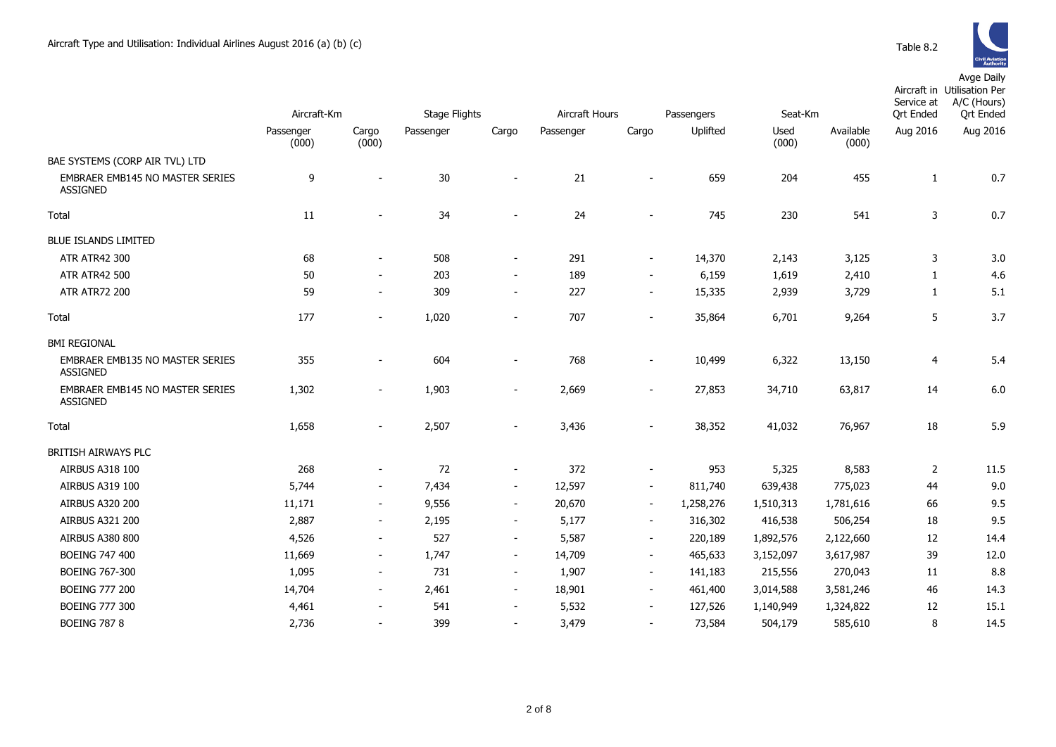

|                                                           | Aircraft-Km        |                          | <b>Stage Flights</b> |                          | Aircraft Hours |        | Passengers | Seat-Km       |                    | Service at<br>Ort Ended | Aircraft in Utilisation Per<br>A/C (Hours)<br><b>Qrt Ended</b> |
|-----------------------------------------------------------|--------------------|--------------------------|----------------------|--------------------------|----------------|--------|------------|---------------|--------------------|-------------------------|----------------------------------------------------------------|
|                                                           | Passenger<br>(000) | Cargo<br>(000)           | Passenger            | Cargo                    | Passenger      | Cargo  | Uplifted   | Used<br>(000) | Available<br>(000) | Aug 2016                | Aug 2016                                                       |
| BAE SYSTEMS (CORP AIR TVL) LTD                            |                    |                          |                      |                          |                |        |            |               |                    |                         |                                                                |
| <b>EMBRAER EMB145 NO MASTER SERIES</b><br><b>ASSIGNED</b> | 9                  | $\overline{\phantom{0}}$ | 30                   | $\overline{\phantom{a}}$ | 21             |        | 659        | 204           | 455                | 1                       | 0.7                                                            |
| <b>Total</b>                                              | 11                 |                          | 34                   | $\overline{\phantom{a}}$ | 24             |        | 745        | 230           | 541                | 3                       | 0.7                                                            |
| <b>BLUE ISLANDS LIMITED</b>                               |                    |                          |                      |                          |                |        |            |               |                    |                         |                                                                |
| <b>ATR ATR42 300</b>                                      | 68                 | $\sim$                   | 508                  | $\sim$                   | 291            | $\sim$ | 14,370     | 2,143         | 3,125              | 3                       | 3.0                                                            |
| <b>ATR ATR42 500</b>                                      | 50                 | $\blacksquare$           | 203                  | $\overline{\phantom{a}}$ | 189            | $\sim$ | 6,159      | 1,619         | 2,410              | $\mathbf{1}$            | 4.6                                                            |
| <b>ATR ATR72 200</b>                                      | 59                 | $\blacksquare$           | 309                  | $\overline{\phantom{a}}$ | 227            | $\sim$ | 15,335     | 2,939         | 3,729              | $\mathbf{1}$            | 5.1                                                            |
| Total                                                     | 177                | $\sim$                   | 1,020                | $\blacksquare$           | 707            | $\sim$ | 35,864     | 6,701         | 9,264              | 5                       | 3.7                                                            |
| <b>BMI REGIONAL</b>                                       |                    |                          |                      |                          |                |        |            |               |                    |                         |                                                                |
| EMBRAER EMB135 NO MASTER SERIES<br>ASSIGNED               | 355                | $\overline{\phantom{a}}$ | 604                  | $\overline{\phantom{a}}$ | 768            |        | 10,499     | 6,322         | 13,150             | $\overline{\mathbf{r}}$ | 5.4                                                            |
| <b>EMBRAER EMB145 NO MASTER SERIES</b><br><b>ASSIGNED</b> | 1,302              |                          | 1,903                | $\overline{\phantom{a}}$ | 2,669          |        | 27,853     | 34,710        | 63,817             | 14                      | 6.0                                                            |
| Total                                                     | 1,658              | $\overline{\phantom{a}}$ | 2,507                | $\overline{\phantom{a}}$ | 3,436          |        | 38,352     | 41,032        | 76,967             | 18                      | 5.9                                                            |
| BRITISH AIRWAYS PLC                                       |                    |                          |                      |                          |                |        |            |               |                    |                         |                                                                |
| AIRBUS A318 100                                           | 268                | $\overline{\phantom{a}}$ | 72                   | $\overline{\phantom{a}}$ | 372            | $\sim$ | 953        | 5,325         | 8,583              | $\overline{2}$          | 11.5                                                           |
| AIRBUS A319 100                                           | 5,744              | $\overline{\phantom{a}}$ | 7,434                | $\overline{\phantom{a}}$ | 12,597         | $\sim$ | 811,740    | 639,438       | 775,023            | 44                      | 9.0                                                            |
| <b>AIRBUS A320 200</b>                                    | 11,171             | $\overline{\phantom{a}}$ | 9,556                | $\overline{\phantom{a}}$ | 20,670         | $\sim$ | 1,258,276  | 1,510,313     | 1,781,616          | 66                      | 9.5                                                            |
| <b>AIRBUS A321 200</b>                                    | 2,887              | $\blacksquare$           | 2,195                | $\blacksquare$           | 5,177          | $\sim$ | 316,302    | 416,538       | 506,254            | 18                      | 9.5                                                            |
| <b>AIRBUS A380 800</b>                                    | 4,526              | $\overline{\phantom{a}}$ | 527                  | $\overline{\phantom{a}}$ | 5,587          | $\sim$ | 220,189    | 1,892,576     | 2,122,660          | 12                      | 14.4                                                           |
| <b>BOEING 747 400</b>                                     | 11,669             | $\overline{\phantom{a}}$ | 1,747                | $\blacksquare$           | 14,709         | $\sim$ | 465,633    | 3,152,097     | 3,617,987          | 39                      | 12.0                                                           |
| <b>BOEING 767-300</b>                                     | 1,095              | $\overline{\phantom{a}}$ | 731                  | $\overline{\phantom{a}}$ | 1,907          | $\sim$ | 141,183    | 215,556       | 270,043            | 11                      | 8.8                                                            |
| <b>BOEING 777 200</b>                                     | 14,704             | $\overline{\phantom{a}}$ | 2,461                | $\overline{\phantom{a}}$ | 18,901         | $\sim$ | 461,400    | 3,014,588     | 3,581,246          | 46                      | 14.3                                                           |
| <b>BOEING 777 300</b>                                     | 4,461              | $\overline{\phantom{a}}$ | 541                  | $\overline{\phantom{a}}$ | 5,532          | $\sim$ | 127,526    | 1,140,949     | 1,324,822          | 12                      | 15.1                                                           |
| <b>BOEING 787 8</b>                                       | 2,736              | $\overline{\phantom{a}}$ | 399                  | $\overline{\phantom{a}}$ | 3,479          | $\sim$ | 73,584     | 504,179       | 585,610            | 8                       | 14.5                                                           |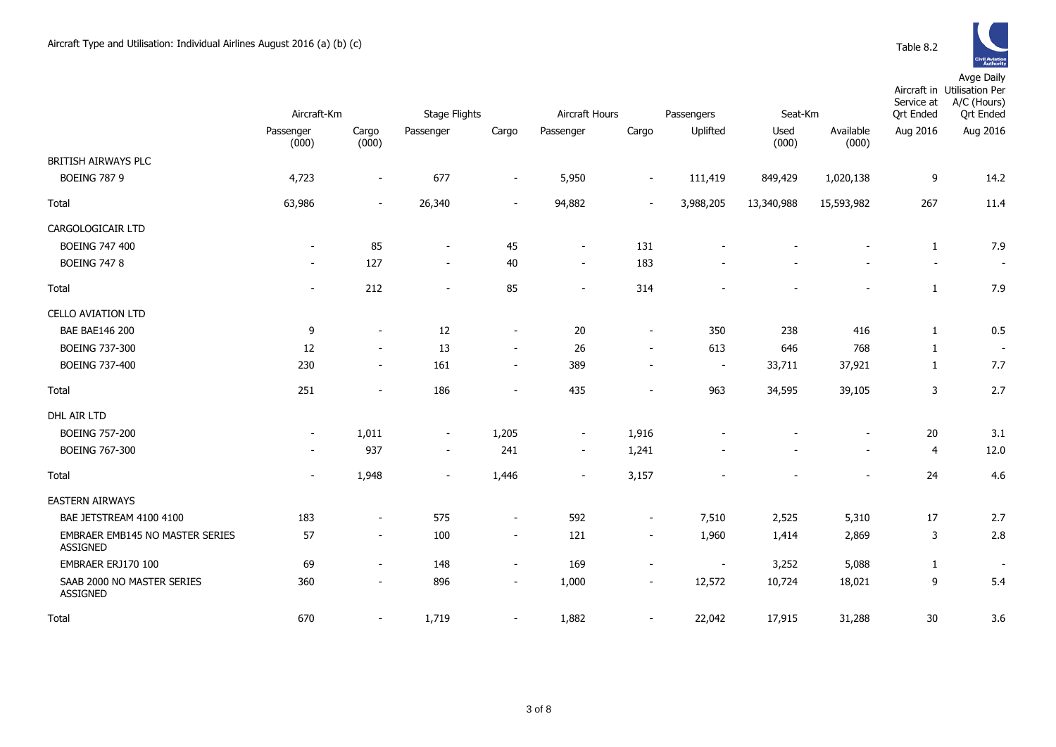Avge Daily

|                                                    | Aircraft-Km              |                          | <b>Stage Flights</b>     |                          | Aircraft Hours<br>Passengers |                          |                          | Seat-Km       |                          | Service at<br><b>Qrt Ended</b> | Aircraft in Utilisation Per<br>A/C (Hours)<br><b>Qrt Ended</b> |
|----------------------------------------------------|--------------------------|--------------------------|--------------------------|--------------------------|------------------------------|--------------------------|--------------------------|---------------|--------------------------|--------------------------------|----------------------------------------------------------------|
|                                                    | Passenger<br>(000)       | Cargo<br>(000)           | Passenger                | Cargo                    | Passenger                    | Cargo                    | Uplifted                 | Used<br>(000) | Available<br>(000)       | Aug 2016                       | Aug 2016                                                       |
| <b>BRITISH AIRWAYS PLC</b>                         |                          |                          |                          |                          |                              |                          |                          |               |                          |                                |                                                                |
| <b>BOEING 787 9</b>                                | 4,723                    | $\overline{\phantom{a}}$ | 677                      | $\overline{\phantom{a}}$ | 5,950                        | $\sim$                   | 111,419                  | 849,429       | 1,020,138                | 9                              | 14.2                                                           |
| Total                                              | 63,986                   | $\overline{\phantom{a}}$ | 26,340                   | $\overline{\phantom{a}}$ | 94,882                       | $\sim$                   | 3,988,205                | 13,340,988    | 15,593,982               | 267                            | 11.4                                                           |
| CARGOLOGICAIR LTD                                  |                          |                          |                          |                          |                              |                          |                          |               |                          |                                |                                                                |
| <b>BOEING 747 400</b>                              | $\overline{\phantom{a}}$ | 85                       | $\overline{\phantom{a}}$ | 45                       | $\overline{\phantom{a}}$     | 131                      |                          |               |                          | 1                              | 7.9                                                            |
| <b>BOEING 747 8</b>                                | $\overline{\phantom{a}}$ | 127                      | $\sim$                   | 40                       | $\sim$                       | 183                      |                          |               |                          |                                | $\sim$                                                         |
| Total                                              | $\sim$                   | 212                      | $\overline{\phantom{a}}$ | 85                       | $\overline{\phantom{a}}$     | 314                      |                          |               |                          | $\mathbf{1}$                   | 7.9                                                            |
| <b>CELLO AVIATION LTD</b>                          |                          |                          |                          |                          |                              |                          |                          |               |                          |                                |                                                                |
| <b>BAE BAE146 200</b>                              | 9                        | $\sim$                   | 12                       | $\overline{\phantom{a}}$ | 20                           | $\sim$                   | 350                      | 238           | 416                      | 1                              | 0.5                                                            |
| <b>BOEING 737-300</b>                              | 12                       | $\sim$                   | 13                       | $\sim$                   | 26                           | $\sim$                   | 613                      | 646           | 768                      | 1                              | $\overline{\phantom{a}}$                                       |
| BOEING 737-400                                     | 230                      | $\sim$                   | 161                      | $\sim$                   | 389                          | $\sim$                   | $\sim$                   | 33,711        | 37,921                   | 1                              | 7.7                                                            |
| Total                                              | 251                      | $\overline{\phantom{0}}$ | 186                      | $\overline{\phantom{a}}$ | 435                          |                          | 963                      | 34,595        | 39,105                   | 3                              | 2.7                                                            |
| DHL AIR LTD                                        |                          |                          |                          |                          |                              |                          |                          |               |                          |                                |                                                                |
| <b>BOEING 757-200</b>                              | $\overline{\phantom{a}}$ | 1,011                    |                          | 1,205                    | $\overline{\phantom{a}}$     | 1,916                    |                          |               |                          | 20                             | 3.1                                                            |
| <b>BOEING 767-300</b>                              | $\overline{\phantom{a}}$ | 937                      | $\sim$                   | 241                      | $\sim$                       | 1,241                    |                          |               | $\overline{\phantom{a}}$ | $\overline{4}$                 | 12.0                                                           |
| Total                                              | $\overline{\phantom{a}}$ | 1,948                    |                          | 1,446                    | $\overline{\phantom{a}}$     | 3,157                    |                          |               | $\overline{\phantom{a}}$ | 24                             | 4.6                                                            |
| <b>EASTERN AIRWAYS</b>                             |                          |                          |                          |                          |                              |                          |                          |               |                          |                                |                                                                |
| BAE JETSTREAM 4100 4100                            | 183                      | $\sim$                   | 575                      | $\sim$                   | 592                          | $\overline{\phantom{a}}$ | 7,510                    | 2,525         | 5,310                    | 17                             | 2.7                                                            |
| EMBRAER EMB145 NO MASTER SERIES<br><b>ASSIGNED</b> | 57                       | $\sim$                   | 100                      | $\sim$                   | 121                          | $\overline{\phantom{a}}$ | 1,960                    | 1,414         | 2,869                    | 3                              | 2.8                                                            |
| EMBRAER ERJ170 100                                 | 69                       | $\sim$                   | 148                      | $\sim$                   | 169                          |                          | $\overline{\phantom{a}}$ | 3,252         | 5,088                    | 1                              | $\overline{\phantom{a}}$                                       |
| SAAB 2000 NO MASTER SERIES<br><b>ASSIGNED</b>      | 360                      | $\overline{\phantom{a}}$ | 896                      | $\sim$                   | 1,000                        |                          | 12,572                   | 10,724        | 18,021                   | 9                              | 5.4                                                            |
| Total                                              | 670                      | $\sim$                   | 1,719                    | $\sim$                   | 1,882                        | $\sim$                   | 22,042                   | 17,915        | 31,288                   | 30                             | 3.6                                                            |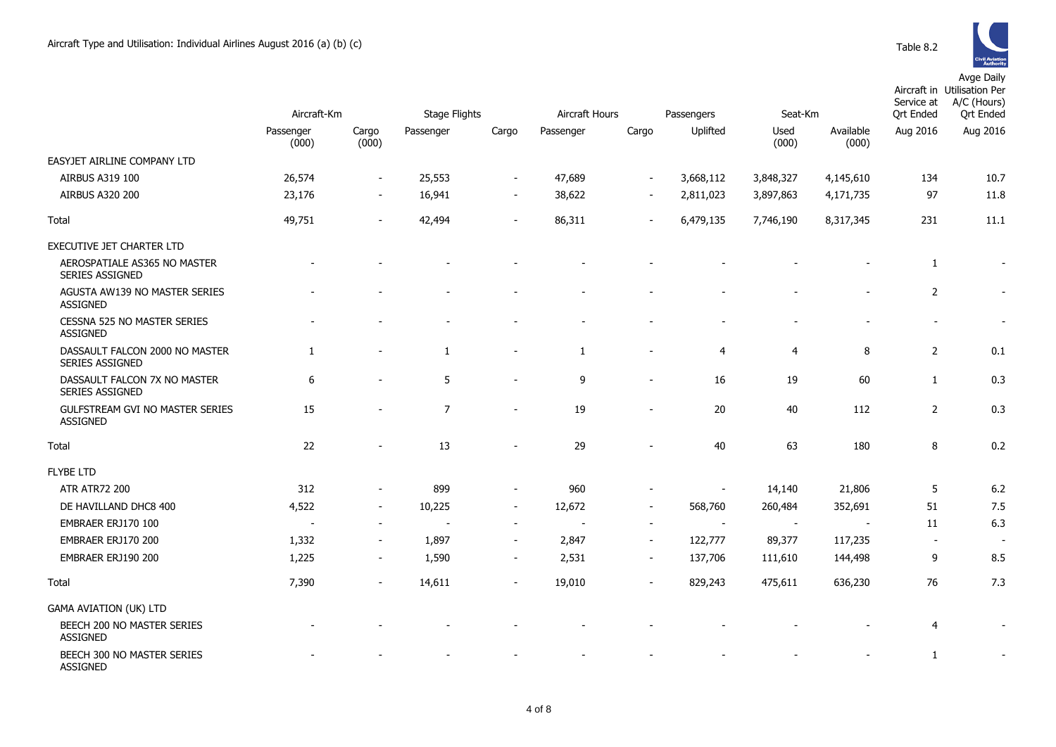

|                                                        | Aircraft-Km        |                          | <b>Stage Flights</b>     |                          | Aircraft Hours           |                          | Passengers               |                | Seat-Km                  |                          | Aircraft in Utilisation Per<br>A/C (Hours)<br>Service at<br>Ort Ended |
|--------------------------------------------------------|--------------------|--------------------------|--------------------------|--------------------------|--------------------------|--------------------------|--------------------------|----------------|--------------------------|--------------------------|-----------------------------------------------------------------------|
|                                                        | Passenger<br>(000) | Cargo<br>(000)           | Passenger                | Cargo                    | Passenger                | Cargo                    | Uplifted                 | Used<br>(000)  | Available<br>(000)       | Aug 2016                 | Aug 2016                                                              |
| EASYJET AIRLINE COMPANY LTD                            |                    |                          |                          |                          |                          |                          |                          |                |                          |                          |                                                                       |
| AIRBUS A319 100                                        | 26,574             | $\blacksquare$           | 25,553                   | $\blacksquare$           | 47,689                   | $\blacksquare$           | 3,668,112                | 3,848,327      | 4,145,610                | 134                      | 10.7                                                                  |
| <b>AIRBUS A320 200</b>                                 | 23,176             | $\overline{\phantom{a}}$ | 16,941                   | $\overline{\phantom{a}}$ | 38,622                   | $\overline{\phantom{a}}$ | 2,811,023                | 3,897,863      | 4,171,735                | 97                       | 11.8                                                                  |
| Total                                                  | 49,751             | $\blacksquare$           | 42,494                   | $\overline{\phantom{a}}$ | 86,311                   | $\blacksquare$           | 6,479,135                | 7,746,190      | 8,317,345                | 231                      | 11.1                                                                  |
| EXECUTIVE JET CHARTER LTD                              |                    |                          |                          |                          |                          |                          |                          |                |                          |                          |                                                                       |
| AEROSPATIALE AS365 NO MASTER<br>SERIES ASSIGNED        |                    |                          |                          |                          |                          |                          |                          |                |                          | 1                        | $\sim$                                                                |
| AGUSTA AW139 NO MASTER SERIES<br><b>ASSIGNED</b>       |                    |                          |                          |                          |                          |                          |                          |                |                          | $\overline{2}$           | $\overline{\phantom{a}}$                                              |
| CESSNA 525 NO MASTER SERIES<br><b>ASSIGNED</b>         |                    |                          |                          |                          |                          |                          |                          |                |                          |                          |                                                                       |
| DASSAULT FALCON 2000 NO MASTER<br>SERIES ASSIGNED      | 1                  |                          | 1                        |                          | 1                        |                          | $\overline{4}$           | 4              | 8                        | $\overline{2}$           | 0.1                                                                   |
| DASSAULT FALCON 7X NO MASTER<br><b>SERIES ASSIGNED</b> | 6                  | $\blacksquare$           | 5                        | $\blacksquare$           | 9                        | $\blacksquare$           | 16                       | 19             | 60                       | $\mathbf{1}$             | 0.3                                                                   |
| GULFSTREAM GVI NO MASTER SERIES<br><b>ASSIGNED</b>     | 15                 |                          | $\overline{7}$           | ÷,                       | 19                       |                          | 20                       | 40             | 112                      | $\overline{2}$           | 0.3                                                                   |
| Total                                                  | 22                 |                          | 13                       |                          | 29                       |                          | 40                       | 63             | 180                      | 8                        | 0.2                                                                   |
| <b>FLYBE LTD</b>                                       |                    |                          |                          |                          |                          |                          |                          |                |                          |                          |                                                                       |
| <b>ATR ATR72 200</b>                                   | 312                | $\blacksquare$           | 899                      | $\blacksquare$           | 960                      | $\overline{a}$           |                          | 14,140         | 21,806                   | 5                        | 6.2                                                                   |
| DE HAVILLAND DHC8 400                                  | 4,522              | $\overline{\phantom{a}}$ | 10,225                   | $\overline{\phantom{a}}$ | 12,672                   | $\overline{\phantom{a}}$ | 568,760                  | 260,484        | 352,691                  | 51                       | 7.5                                                                   |
| EMBRAER ERJ170 100                                     | $\blacksquare$     | $\overline{\phantom{a}}$ | $\overline{\phantom{a}}$ | $\overline{\phantom{a}}$ | $\overline{\phantom{a}}$ | $\overline{\phantom{a}}$ | $\overline{\phantom{a}}$ | $\blacksquare$ | $\overline{\phantom{a}}$ | 11                       | 6.3                                                                   |
| EMBRAER ERJ170 200                                     | 1,332              | $\overline{\phantom{a}}$ | 1,897                    | $\overline{\phantom{a}}$ | 2,847                    | $\overline{\phantom{a}}$ | 122,777                  | 89,377         | 117,235                  | $\overline{\phantom{a}}$ | $\overline{\phantom{a}}$                                              |
| EMBRAER ERJ190 200                                     | 1,225              | $\overline{\phantom{a}}$ | 1,590                    | $\overline{\phantom{a}}$ | 2,531                    | $\overline{\phantom{a}}$ | 137,706                  | 111,610        | 144,498                  | 9                        | 8.5                                                                   |
| Total                                                  | 7,390              | $\blacksquare$           | 14,611                   | $\blacksquare$           | 19,010                   | ÷,                       | 829,243                  | 475,611        | 636,230                  | 76                       | 7.3                                                                   |
| <b>GAMA AVIATION (UK) LTD</b>                          |                    |                          |                          |                          |                          |                          |                          |                |                          |                          |                                                                       |
| BEECH 200 NO MASTER SERIES<br><b>ASSIGNED</b>          |                    |                          |                          |                          |                          |                          |                          |                |                          | $\overline{4}$           |                                                                       |
| BEECH 300 NO MASTER SERIES<br><b>ASSIGNED</b>          |                    |                          |                          |                          |                          |                          |                          |                |                          | 1                        |                                                                       |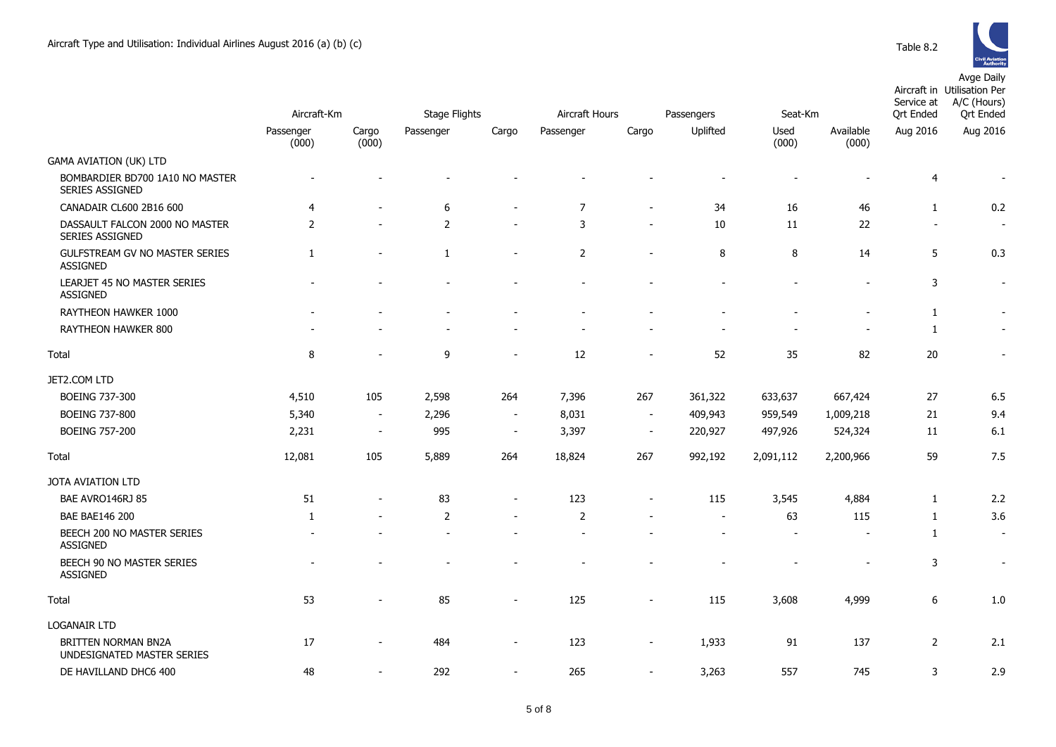

|                                                           | Aircraft-Km        |                          | <b>Stage Flights</b> |                          | Aircraft Hours |                          | Passengers | Seat-Km        |                    | Service at<br><b>Qrt Ended</b> | Aircraft in Utilisation Per<br>A/C (Hours)<br><b>Qrt Ended</b> |
|-----------------------------------------------------------|--------------------|--------------------------|----------------------|--------------------------|----------------|--------------------------|------------|----------------|--------------------|--------------------------------|----------------------------------------------------------------|
|                                                           | Passenger<br>(000) | Cargo<br>(000)           | Passenger            | Cargo                    | Passenger      | Cargo                    | Uplifted   | Used<br>(000)  | Available<br>(000) | Aug 2016                       | Aug 2016                                                       |
| <b>GAMA AVIATION (UK) LTD</b>                             |                    |                          |                      |                          |                |                          |            |                |                    |                                |                                                                |
| BOMBARDIER BD700 1A10 NO MASTER<br><b>SERIES ASSIGNED</b> |                    |                          |                      |                          |                |                          |            |                |                    | 4                              | $\overline{\phantom{a}}$                                       |
| CANADAIR CL600 2B16 600                                   | 4                  |                          | 6                    | $\overline{\phantom{a}}$ | $\overline{7}$ | $\overline{\phantom{a}}$ | 34         | 16             | 46                 | $\mathbf{1}$                   | 0.2                                                            |
| DASSAULT FALCON 2000 NO MASTER<br>SERIES ASSIGNED         | $\overline{2}$     |                          | 2                    | $\blacksquare$           | 3              | $\blacksquare$           | 10         | 11             | 22                 | $\overline{\phantom{a}}$       | $\sim$                                                         |
| GULFSTREAM GV NO MASTER SERIES<br><b>ASSIGNED</b>         | 1                  | ÷,                       | 1                    | $\overline{a}$           | 2              | $\overline{a}$           | 8          | 8              | 14                 | 5                              | 0.3                                                            |
| LEARJET 45 NO MASTER SERIES<br><b>ASSIGNED</b>            |                    |                          |                      |                          |                |                          |            |                |                    | 3                              | $\sim$                                                         |
| RAYTHEON HAWKER 1000                                      |                    |                          |                      | $\overline{\phantom{a}}$ |                |                          |            | $\overline{a}$ |                    | $\mathbf{1}$                   |                                                                |
| RAYTHEON HAWKER 800                                       |                    |                          |                      |                          |                |                          |            |                |                    | 1                              | $\sim$                                                         |
| Total                                                     | 8                  |                          | 9                    | $\overline{a}$           | 12             |                          | 52         | 35             | 82                 | 20                             |                                                                |
| JET2.COM LTD                                              |                    |                          |                      |                          |                |                          |            |                |                    |                                |                                                                |
| <b>BOEING 737-300</b>                                     | 4,510              | 105                      | 2,598                | 264                      | 7,396          | 267                      | 361,322    | 633,637        | 667,424            | 27                             | 6.5                                                            |
| <b>BOEING 737-800</b>                                     | 5,340              | $\overline{\phantom{a}}$ | 2,296                | $\sim$                   | 8,031          | $\blacksquare$           | 409,943    | 959,549        | 1,009,218          | 21                             | 9.4                                                            |
| <b>BOEING 757-200</b>                                     | 2,231              | $\overline{\phantom{a}}$ | 995                  | $\overline{\phantom{a}}$ | 3,397          | $\overline{\phantom{a}}$ | 220,927    | 497,926        | 524,324            | 11                             | 6.1                                                            |
| Total                                                     | 12,081             | 105                      | 5,889                | 264                      | 18,824         | 267                      | 992,192    | 2,091,112      | 2,200,966          | 59                             | 7.5                                                            |
| JOTA AVIATION LTD                                         |                    |                          |                      |                          |                |                          |            |                |                    |                                |                                                                |
| BAE AVRO146RJ 85                                          | 51                 |                          | 83                   |                          | 123            |                          | 115        | 3,545          | 4,884              | $\mathbf{1}$                   | 2.2                                                            |
| <b>BAE BAE146 200</b>                                     | 1                  |                          | $\overline{2}$       |                          | $\overline{2}$ |                          |            | 63             | 115                | $\mathbf{1}$                   | 3.6                                                            |
| BEECH 200 NO MASTER SERIES<br><b>ASSIGNED</b>             |                    |                          |                      |                          |                |                          |            |                |                    | $\mathbf{1}$                   | $\sim$                                                         |
| BEECH 90 NO MASTER SERIES<br><b>ASSIGNED</b>              |                    |                          |                      |                          |                |                          |            |                |                    | 3                              |                                                                |
| Total                                                     | 53                 | $\blacksquare$           | 85                   | $\blacksquare$           | 125            | $\blacksquare$           | 115        | 3,608          | 4,999              | 6                              | 1.0                                                            |
| <b>LOGANAIR LTD</b>                                       |                    |                          |                      |                          |                |                          |            |                |                    |                                |                                                                |
| <b>BRITTEN NORMAN BN2A</b><br>UNDESIGNATED MASTER SERIES  | 17                 |                          | 484                  | ٠                        | 123            |                          | 1,933      | 91             | 137                | $\overline{2}$                 | 2.1                                                            |
| DE HAVILLAND DHC6 400                                     | 48                 | $\blacksquare$           | 292                  | $\blacksquare$           | 265            | $\blacksquare$           | 3,263      | 557            | 745                | 3                              | 2.9                                                            |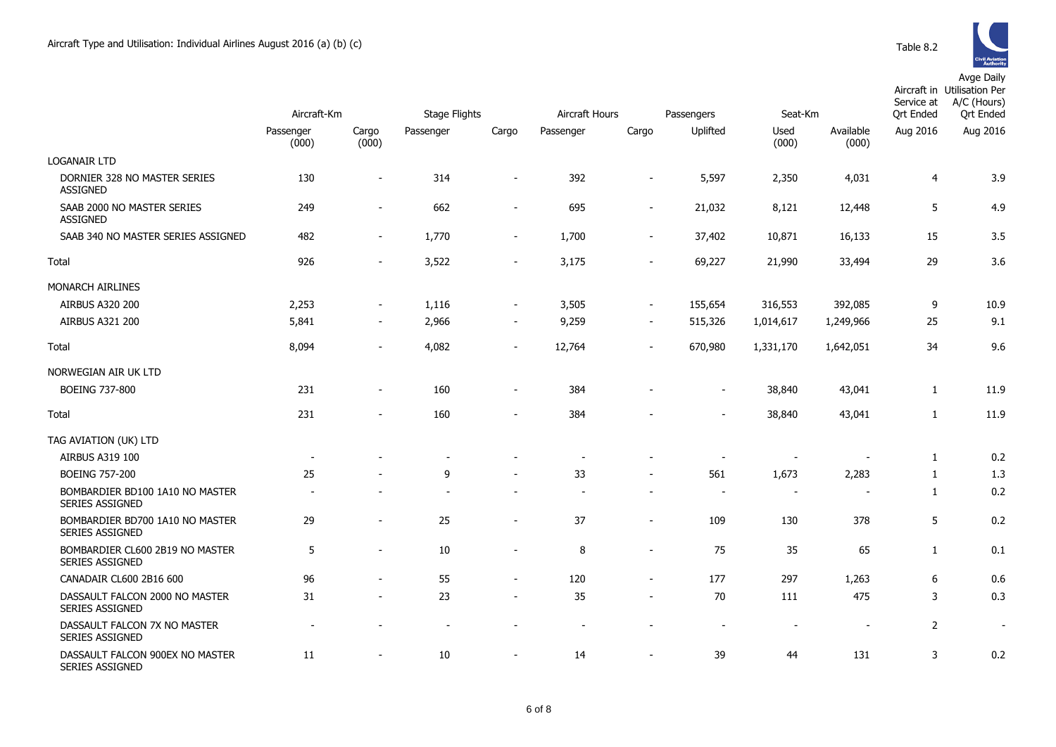Avge Daily

|                                                           | Aircraft-Km              |                          | <b>Stage Flights</b> |                          | Aircraft Hours           |                          | Passengers               | Seat-Km                  |                          | Service at<br><b>Ort Ended</b> | Aircraft in Utilisation Per<br>A/C (Hours)<br><b>Ort Ended</b> |
|-----------------------------------------------------------|--------------------------|--------------------------|----------------------|--------------------------|--------------------------|--------------------------|--------------------------|--------------------------|--------------------------|--------------------------------|----------------------------------------------------------------|
|                                                           | Passenger<br>(000)       | Cargo<br>(000)           | Passenger            | Cargo                    | Passenger                | Cargo                    | Uplifted                 | Used<br>(000)            | Available<br>(000)       | Aug 2016                       | Aug 2016                                                       |
| <b>LOGANAIR LTD</b>                                       |                          |                          |                      |                          |                          |                          |                          |                          |                          |                                |                                                                |
| DORNIER 328 NO MASTER SERIES<br><b>ASSIGNED</b>           | 130                      | $\sim$                   | 314                  | $\blacksquare$           | 392                      | $\sim$                   | 5,597                    | 2,350                    | 4,031                    | $\overline{4}$                 | 3.9                                                            |
| SAAB 2000 NO MASTER SERIES<br><b>ASSIGNED</b>             | 249                      | $\overline{\phantom{a}}$ | 662                  | $\overline{\phantom{0}}$ | 695                      | $\overline{\phantom{0}}$ | 21,032                   | 8,121                    | 12,448                   | 5                              | 4.9                                                            |
| SAAB 340 NO MASTER SERIES ASSIGNED                        | 482                      | $\sim$                   | 1,770                | $\overline{\phantom{a}}$ | 1,700                    | $\overline{\phantom{0}}$ | 37,402                   | 10,871                   | 16,133                   | 15                             | 3.5                                                            |
| Total                                                     | 926                      | $\sim$                   | 3,522                | $\overline{\phantom{a}}$ | 3,175                    |                          | 69,227                   | 21,990                   | 33,494                   | 29                             | 3.6                                                            |
| MONARCH AIRLINES                                          |                          |                          |                      |                          |                          |                          |                          |                          |                          |                                |                                                                |
| <b>AIRBUS A320 200</b>                                    | 2,253                    | $\sim$                   | 1,116                | $\overline{\phantom{a}}$ | 3,505                    | $\overline{\phantom{a}}$ | 155,654                  | 316,553                  | 392,085                  | 9                              | 10.9                                                           |
| AIRBUS A321 200                                           | 5,841                    | $\sim$                   | 2,966                | $\overline{\phantom{a}}$ | 9,259                    | $\overline{\phantom{a}}$ | 515,326                  | 1,014,617                | 1,249,966                | 25                             | 9.1                                                            |
| Total                                                     | 8,094                    |                          | 4,082                | $\blacksquare$           | 12,764                   | ٠                        | 670,980                  | 1,331,170                | 1,642,051                | 34                             | 9.6                                                            |
| NORWEGIAN AIR UK LTD                                      |                          |                          |                      |                          |                          |                          |                          |                          |                          |                                |                                                                |
| <b>BOEING 737-800</b>                                     | 231                      | $\overline{\phantom{a}}$ | 160                  | $\overline{\phantom{a}}$ | 384                      |                          | $\overline{\phantom{a}}$ | 38,840                   | 43,041                   | $\mathbf{1}$                   | 11.9                                                           |
| Total                                                     | 231                      | $\sim$                   | 160                  |                          | 384                      |                          | $\overline{\phantom{a}}$ | 38,840                   | 43,041                   | $\mathbf{1}$                   | 11.9                                                           |
| TAG AVIATION (UK) LTD                                     |                          |                          |                      |                          |                          |                          |                          |                          |                          |                                |                                                                |
| <b>AIRBUS A319 100</b>                                    | $\overline{\phantom{a}}$ |                          |                      |                          |                          |                          | $\overline{\phantom{a}}$ |                          |                          | $\mathbf{1}$                   | 0.2                                                            |
| <b>BOEING 757-200</b>                                     | 25                       |                          | 9                    |                          | 33                       | $\blacksquare$           | 561                      | 1,673                    | 2,283                    | $\mathbf{1}$                   | 1.3                                                            |
| BOMBARDIER BD100 1A10 NO MASTER<br>SERIES ASSIGNED        | $\overline{\phantom{a}}$ |                          |                      |                          |                          |                          | $\overline{\phantom{a}}$ | $\sim$                   |                          | $\mathbf{1}$                   | 0.2                                                            |
| BOMBARDIER BD700 1A10 NO MASTER<br>SERIES ASSIGNED        | 29                       |                          | 25                   | $\overline{\phantom{a}}$ | 37                       | $\blacksquare$           | 109                      | 130                      | 378                      | 5                              | 0.2                                                            |
| BOMBARDIER CL600 2B19 NO MASTER<br>SERIES ASSIGNED        | 5                        |                          | 10                   |                          | 8                        | ٠                        | 75                       | 35                       | 65                       | $\mathbf{1}$                   | 0.1                                                            |
| CANADAIR CL600 2B16 600                                   | 96                       |                          | 55                   | $\overline{\phantom{a}}$ | 120                      | $\overline{\phantom{a}}$ | 177                      | 297                      | 1,263                    | 6                              | 0.6                                                            |
| DASSAULT FALCON 2000 NO MASTER<br><b>SERIES ASSIGNED</b>  | 31                       |                          | 23                   |                          | 35                       | $\blacksquare$           | 70                       | 111                      | 475                      | 3                              | 0.3                                                            |
| DASSAULT FALCON 7X NO MASTER<br>SERIES ASSIGNED           | $\overline{\phantom{a}}$ |                          |                      | $\blacksquare$           | $\overline{\phantom{a}}$ | $\blacksquare$           | $\blacksquare$           | $\overline{\phantom{a}}$ | $\overline{\phantom{a}}$ | $\overline{2}$                 | $\overline{\phantom{a}}$                                       |
| DASSAULT FALCON 900EX NO MASTER<br><b>SERIES ASSIGNED</b> | 11                       |                          | 10                   | ۰                        | 14                       | $\blacksquare$           | 39                       | 44                       | 131                      | 3                              | 0.2                                                            |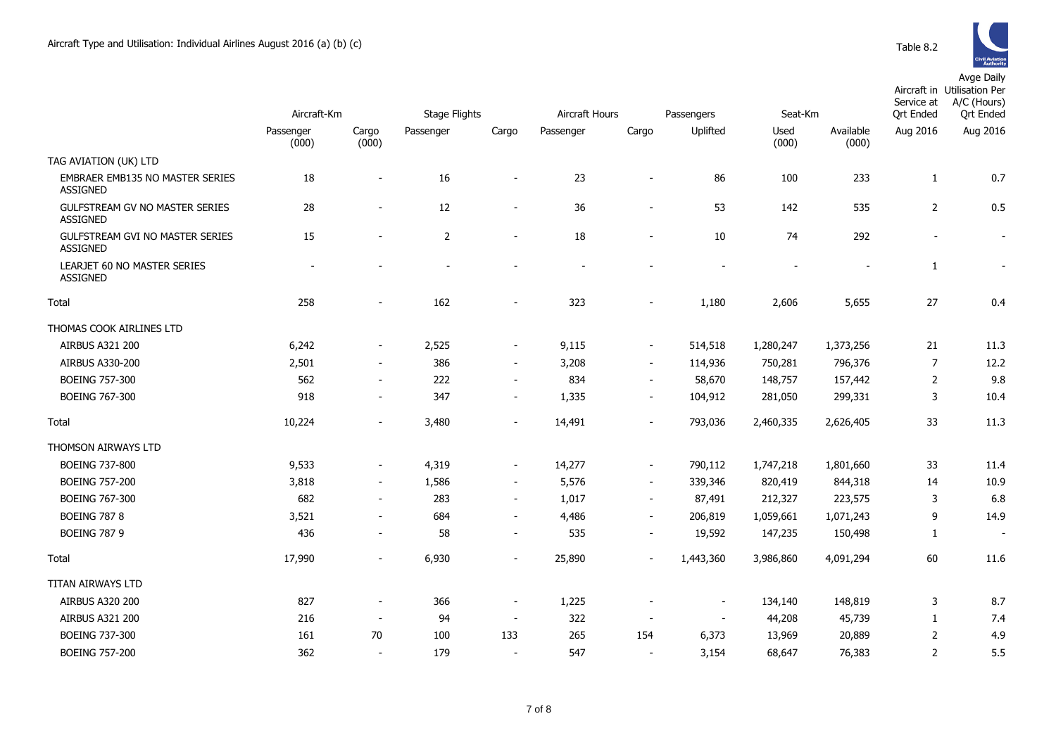

|                                                    | Aircraft-Km        |                          | <b>Stage Flights</b> |                          | Aircraft Hours<br>Passengers |                          |           | Seat-Km        |                    | Service at<br><b>Ort Ended</b> | Aircraft in Utilisation Per<br>A/C (Hours)<br><b>Qrt Ended</b> |
|----------------------------------------------------|--------------------|--------------------------|----------------------|--------------------------|------------------------------|--------------------------|-----------|----------------|--------------------|--------------------------------|----------------------------------------------------------------|
|                                                    | Passenger<br>(000) | Cargo<br>(000)           | Passenger            | Cargo                    | Passenger                    | Cargo                    | Uplifted  | Used<br>(000)  | Available<br>(000) | Aug 2016                       | Aug 2016                                                       |
| TAG AVIATION (UK) LTD                              |                    |                          |                      |                          |                              |                          |           |                |                    |                                |                                                                |
| EMBRAER EMB135 NO MASTER SERIES<br><b>ASSIGNED</b> | 18                 |                          | 16                   | $\overline{\phantom{a}}$ | 23                           | $\overline{\phantom{a}}$ | 86        | 100            | 233                | $\mathbf{1}$                   | 0.7                                                            |
| GULFSTREAM GV NO MASTER SERIES<br><b>ASSIGNED</b>  | 28                 | $\overline{\phantom{a}}$ | 12                   | $\overline{\phantom{a}}$ | 36                           | $\overline{\phantom{a}}$ | 53        | 142            | 535                | $\overline{2}$                 | 0.5                                                            |
| GULFSTREAM GVI NO MASTER SERIES<br><b>ASSIGNED</b> | 15                 | $\sim$                   | $\overline{2}$       | $\blacksquare$           | 18                           | $\blacksquare$           | 10        | 74             | 292                | $\blacksquare$                 | $\blacksquare$                                                 |
| LEARJET 60 NO MASTER SERIES<br><b>ASSIGNED</b>     |                    |                          |                      |                          |                              |                          |           | $\overline{a}$ |                    | 1                              | $\sim$                                                         |
| Total                                              | 258                |                          | 162                  |                          | 323                          |                          | 1,180     | 2,606          | 5,655              | 27                             | 0.4                                                            |
| THOMAS COOK AIRLINES LTD                           |                    |                          |                      |                          |                              |                          |           |                |                    |                                |                                                                |
| AIRBUS A321 200                                    | 6,242              | $\overline{\phantom{a}}$ | 2,525                | $\overline{\phantom{a}}$ | 9,115                        | $\overline{\phantom{a}}$ | 514,518   | 1,280,247      | 1,373,256          | 21                             | 11.3                                                           |
| AIRBUS A330-200                                    | 2,501              | $\overline{\phantom{a}}$ | 386                  | $\overline{\phantom{a}}$ | 3,208                        | $\sim$                   | 114,936   | 750,281        | 796,376            | $\overline{7}$                 | 12.2                                                           |
| <b>BOEING 757-300</b>                              | 562                | $\sim$                   | 222                  | $\blacksquare$           | 834                          | $\blacksquare$           | 58,670    | 148,757        | 157,442            | $\overline{2}$                 | 9.8                                                            |
| BOEING 767-300                                     | 918                | $\sim$                   | 347                  | $\blacksquare$           | 1,335                        | $\blacksquare$           | 104,912   | 281,050        | 299,331            | 3                              | 10.4                                                           |
| Total                                              | 10,224             | $\overline{\phantom{a}}$ | 3,480                | $\overline{\phantom{a}}$ | 14,491                       | $\blacksquare$           | 793,036   | 2,460,335      | 2,626,405          | 33                             | 11.3                                                           |
| THOMSON AIRWAYS LTD                                |                    |                          |                      |                          |                              |                          |           |                |                    |                                |                                                                |
| <b>BOEING 737-800</b>                              | 9,533              | $\overline{\phantom{a}}$ | 4,319                | $\overline{\phantom{a}}$ | 14,277                       | $\overline{\phantom{a}}$ | 790,112   | 1,747,218      | 1,801,660          | 33                             | 11.4                                                           |
| <b>BOEING 757-200</b>                              | 3,818              | $\sim$                   | 1,586                | $\overline{\phantom{a}}$ | 5,576                        | $\overline{\phantom{a}}$ | 339,346   | 820,419        | 844,318            | 14                             | 10.9                                                           |
| <b>BOEING 767-300</b>                              | 682                | $\overline{\phantom{a}}$ | 283                  | $\overline{\phantom{a}}$ | 1,017                        | $\sim$                   | 87,491    | 212,327        | 223,575            | 3                              | 6.8                                                            |
| <b>BOEING 787 8</b>                                | 3,521              | $\sim$                   | 684                  | $\blacksquare$           | 4,486                        | $\sim$                   | 206,819   | 1,059,661      | 1,071,243          | 9                              | 14.9                                                           |
| <b>BOEING 787 9</b>                                | 436                | $\overline{\phantom{a}}$ | 58                   | $\overline{\phantom{a}}$ | 535                          | $\overline{\phantom{a}}$ | 19,592    | 147,235        | 150,498            | 1                              | $\overline{\phantom{a}}$                                       |
| Total                                              | 17,990             | $\sim$                   | 6,930                | $\overline{\phantom{a}}$ | 25,890                       | $\blacksquare$           | 1,443,360 | 3,986,860      | 4,091,294          | 60                             | 11.6                                                           |
| <b>TITAN AIRWAYS LTD</b>                           |                    |                          |                      |                          |                              |                          |           |                |                    |                                |                                                                |
| <b>AIRBUS A320 200</b>                             | 827                | $\sim$                   | 366                  | $\sim$                   | 1,225                        | $\overline{\phantom{a}}$ | $\sim$    | 134,140        | 148,819            | 3                              | 8.7                                                            |
| AIRBUS A321 200                                    | 216                | $\sim$                   | 94                   | $\overline{\phantom{a}}$ | 322                          | $\overline{\phantom{a}}$ |           | 44,208         | 45,739             | $\mathbf{1}$                   | 7.4                                                            |
| BOEING 737-300                                     | 161                | $70\,$                   | 100                  | 133                      | 265                          | 154                      | 6,373     | 13,969         | 20,889             | $\overline{2}$                 | 4.9                                                            |
| <b>BOEING 757-200</b>                              | 362                | $\sim$                   | 179                  | $\overline{\phantom{a}}$ | 547                          | $\overline{\phantom{a}}$ | 3,154     | 68,647         | 76,383             | $\overline{2}$                 | 5.5                                                            |